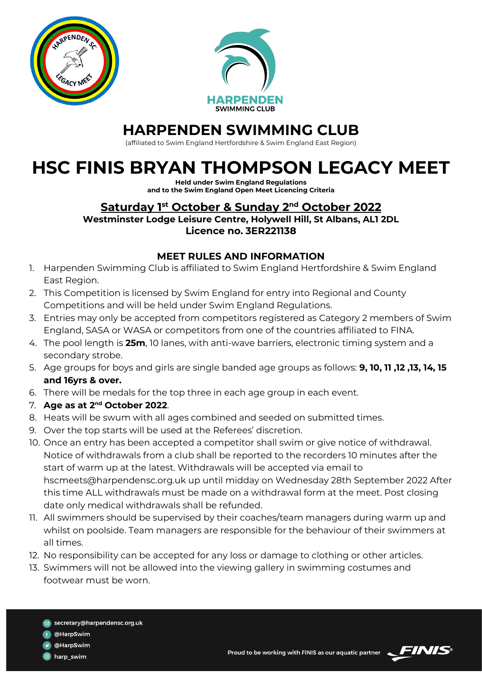



## **HARPENDEN SWIMMING CLUB**

(affiliated to Swim England Hertfordshire & Swim England East Region)

## **HSC FINIS BRYAN THOMPSON LEGACY MEET**

**Held under Swim England Regulations and to the Swim England Open Meet Licencing Criteria**

## **Saturday 1 st October & Sunday 2 nd October 2022 Westminster Lodge Leisure Centre, Holywell Hill, St Albans, AL1 2DL**

**Licence no. 3ER221138**

## **MEET RULES AND INFORMATION**

- 1. Harpenden Swimming Club is affiliated to Swim England Hertfordshire & Swim England East Region.
- 2. This Competition is licensed by Swim England for entry into Regional and County Competitions and will be held under Swim England Regulations.
- 3. Entries may only be accepted from competitors registered as Category 2 members of Swim England, SASA or WASA or competitors from one of the countries affiliated to FINA.
- 4. The pool length is **25m**, 10 lanes, with anti-wave barriers, electronic timing system and a secondary strobe.
- 5. Age groups for boys and girls are single banded age groups as follows: **9, 10, 11 ,12 ,13, 14, 15 and 16yrs & over.**
- 6. There will be medals for the top three in each age group in each event.
- 7. **Age as at 2 nd October 2022**.
- 8. Heats will be swum with all ages combined and seeded on submitted times.
- 9. Over the top starts will be used at the Referees' discretion.
- 10. Once an entry has been accepted a competitor shall swim or give notice of withdrawal. Notice of withdrawals from a club shall be reported to the recorders 10 minutes after the start of warm up at the latest. Withdrawals will be accepted via email to hscmeets@harpendensc.org.uk up until midday on Wednesday 28th September 2022 After this time ALL withdrawals must be made on a withdrawal form at the meet. Post closing date only medical withdrawals shall be refunded.
- 11. All swimmers should be supervised by their coaches/team managers during warm up and whilst on poolside. Team managers are responsible for the behaviour of their swimmers at all times.
- 12. No responsibility can be accepted for any loss or damage to clothing or other articles.
- 13. Swimmers will not be allowed into the viewing gallery in swimming costumes and footwear must be worn.
	- secretary@harpendensc.org.uk
	- @HarpSwim
	- @HarpSwim
	- harp\_swim



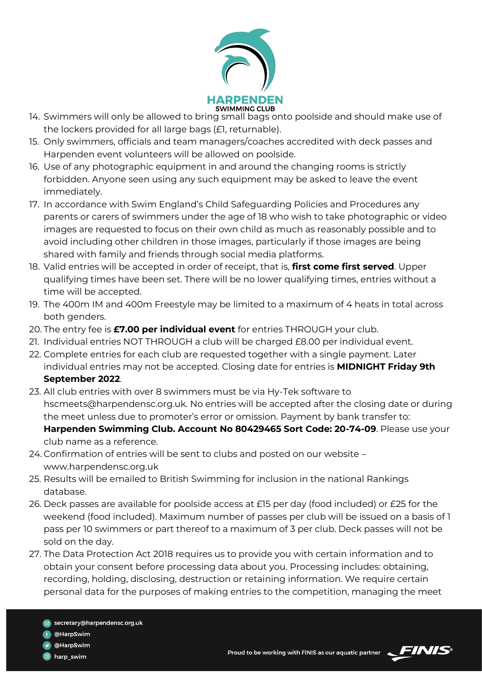

- 14. Swimmers will only be allowed to bring small bags onto poolside and should make use of the lockers provided for all large bags (£1, returnable).
- 15. Only swimmers, officials and team managers/coaches accredited with deck passes and Harpenden event volunteers will be allowed on poolside.
- 16. Use of any photographic equipment in and around the changing rooms is strictly forbidden. Anyone seen using any such equipment may be asked to leave the event immediately.
- 17. In accordance with Swim England's Child Safeguarding Policies and Procedures any parents or carers of swimmers under the age of 18 who wish to take photographic or video images are requested to focus on their own child as much as reasonably possible and to avoid including other children in those images, particularly if those images are being shared with family and friends through social media platforms.
- 18. Valid entries will be accepted in order of receipt, that is, **first come first served**. Upper qualifying times have been set. There will be no lower qualifying times, entries without a time will be accepted.
- 19. The 400m IM and 400m Freestyle may be limited to a maximum of 4 heats in total across both genders.
- 20. The entry fee is **£7.00 per individual event** for entries THROUGH your club.
- 21. Individual entries NOT THROUGH a club will be charged £8.00 per individual event.
- 22. Complete entries for each club are requested together with a single payment. Later individual entries may not be accepted. Closing date for entries is **MIDNIGHT Friday 9th September 2022**.
- 23. All club entries with over 8 swimmers must be via Hy-Tek software to hscmeets@harpendensc.org.uk. No entries will be accepted after the closing date or during the meet unless due to promoter's error or omission. Payment by bank transfer to: **Harpenden Swimming Club. Account No 80429465 Sort Code: 20-74-09**. Please use your club name as a reference.
- 24. Confirmation of entries will be sent to clubs and posted on our website www.harpendensc.org.uk
- 25. Results will be emailed to British Swimming for inclusion in the national Rankings database.
- 26. Deck passes are available for poolside access at £15 per day (food included) or £25 for the weekend (food included). Maximum number of passes per club will be issued on a basis of 1 pass per 10 swimmers or part thereof to a maximum of 3 per club. Deck passes will not be sold on the day.
- 27. The Data Protection Act 2018 requires us to provide you with certain information and to obtain your consent before processing data about you. Processing includes: obtaining, recording, holding, disclosing, destruction or retaining information. We require certain personal data for the purposes of making entries to the competition, managing the meet



@HarpSwim

harp\_swim